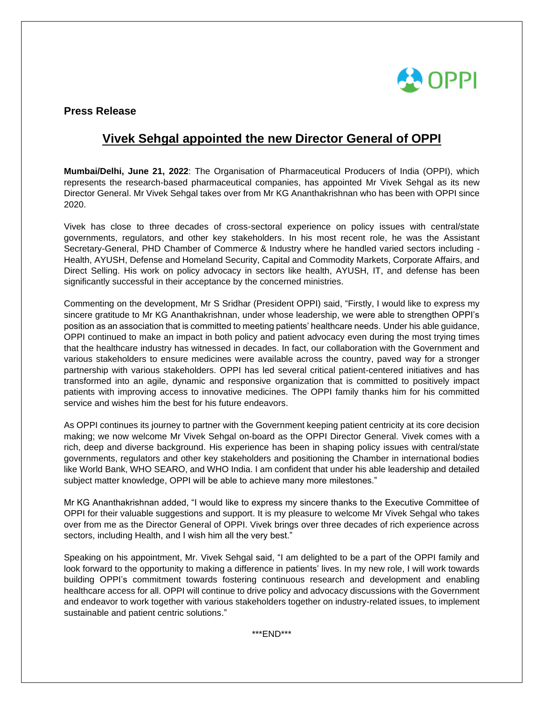

### **Press Release**

# **Vivek Sehgal appointed the new Director General of OPPI**

**Mumbai/Delhi, June 21, 2022**: The Organisation of Pharmaceutical Producers of India (OPPI), which represents the research-based pharmaceutical companies, has appointed Mr Vivek Sehgal as its new Director General. Mr Vivek Sehgal takes over from Mr KG Ananthakrishnan who has been with OPPI since 2020.

Vivek has close to three decades of cross-sectoral experience on policy issues with central/state governments, regulators, and other key stakeholders. In his most recent role, he was the Assistant Secretary-General, PHD Chamber of Commerce & Industry where he handled varied sectors including - Health, AYUSH, Defense and Homeland Security, Capital and Commodity Markets, Corporate Affairs, and Direct Selling. His work on policy advocacy in sectors like health, AYUSH, IT, and defense has been significantly successful in their acceptance by the concerned ministries.

Commenting on the development, Mr S Sridhar (President OPPI) said, "Firstly, I would like to express my sincere gratitude to Mr KG Ananthakrishnan, under whose leadership, we were able to strengthen OPPI's position as an association that is committed to meeting patients' healthcare needs. Under his able guidance, OPPI continued to make an impact in both policy and patient advocacy even during the most trying times that the healthcare industry has witnessed in decades. In fact, our collaboration with the Government and various stakeholders to ensure medicines were available across the country, paved way for a stronger partnership with various stakeholders. OPPI has led several critical patient-centered initiatives and has transformed into an agile, dynamic and responsive organization that is committed to positively impact patients with improving access to innovative medicines. The OPPI family thanks him for his committed service and wishes him the best for his future endeavors.

As OPPI continues its journey to partner with the Government keeping patient centricity at its core decision making; we now welcome Mr Vivek Sehgal on-board as the OPPI Director General. Vivek comes with a rich, deep and diverse background. His experience has been in shaping policy issues with central/state governments, regulators and other key stakeholders and positioning the Chamber in international bodies like World Bank, WHO SEARO, and WHO India. I am confident that under his able leadership and detailed subject matter knowledge, OPPI will be able to achieve many more milestones."

Mr KG Ananthakrishnan added, "I would like to express my sincere thanks to the Executive Committee of OPPI for their valuable suggestions and support. It is my pleasure to welcome Mr Vivek Sehgal who takes over from me as the Director General of OPPI. Vivek brings over three decades of rich experience across sectors, including Health, and I wish him all the very best."

Speaking on his appointment, Mr. Vivek Sehgal said, "I am delighted to be a part of the OPPI family and look forward to the opportunity to making a difference in patients' lives. In my new role, I will work towards building OPPI's commitment towards fostering continuous research and development and enabling healthcare access for all. OPPI will continue to drive policy and advocacy discussions with the Government and endeavor to work together with various stakeholders together on industry-related issues, to implement sustainable and patient centric solutions."

\*\*\*END\*\*\*